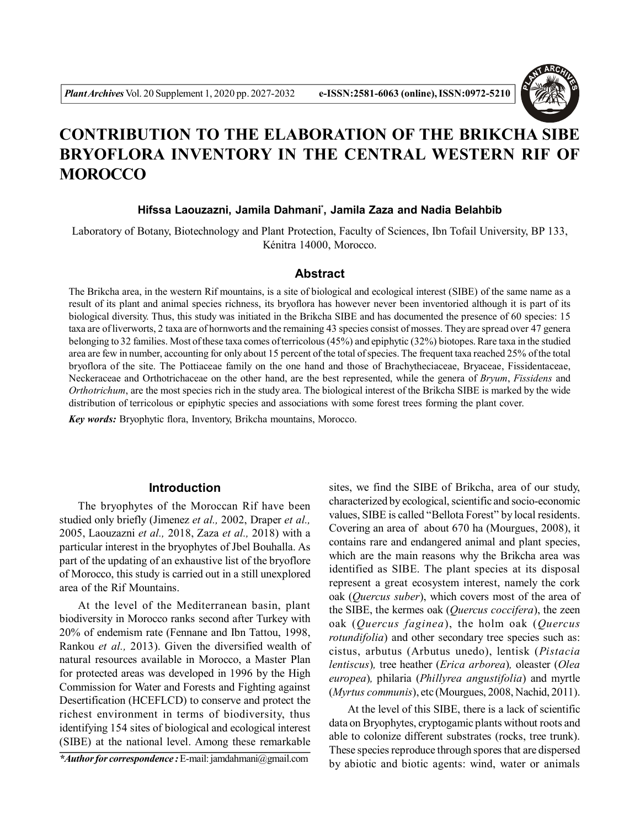

# **CONTRIBUTION TO THE ELABORATION OF THE BRIKCHA SIBE BRYOFLORA INVENTORY IN THE CENTRAL WESTERN RIF OF MOROCCO**

## **Hifssa Laouzazni, Jamila Dahmani\* , Jamila Zaza and Nadia Belahbib**

Laboratory of Botany, Biotechnology and Plant Protection, Faculty of Sciences, Ibn Tofail University, BP 133, Kénitra 14000, Morocco.

#### **Abstract**

The Brikcha area, in the western Rif mountains, is a site of biological and ecological interest (SIBE) of the same name as a result of its plant and animal species richness, its bryoflora has however never been inventoried although it is part of its biological diversity. Thus, this study was initiated in the Brikcha SIBE and has documented the presence of 60 species: 15 taxa are of liverworts, 2 taxa are of hornworts and the remaining 43 species consist of mosses. They are spread over 47 genera belonging to 32 families. Most of these taxa comes of terricolous (45%) and epiphytic (32%) biotopes. Rare taxa in the studied area are few in number, accounting for only about 15 percent of the total of species. The frequent taxa reached 25% of the total bryoflora of the site. The Pottiaceae family on the one hand and those of Brachytheciaceae, Bryaceae, Fissidentaceae, Neckeraceae and Orthotrichaceae on the other hand, are the best represented, while the genera of *Bryum*, *Fissidens* and *Orthotrichum*, are the most species rich in the study area. The biological interest of the Brikcha SIBE is marked by the wide distribution of terricolous or epiphytic species and associations with some forest trees forming the plant cover.

*Key words:* Bryophytic flora, Inventory, Brikcha mountains, Morocco.

## **Introduction**

The bryophytes of the Moroccan Rif have been studied only briefly (Jimenez *et al.,* 2002, Draper *et al.,* 2005, Laouzazni *et al.,* 2018, Zaza *et al.,* 2018) with a particular interest in the bryophytes of Jbel Bouhalla. As part of the updating of an exhaustive list of the bryoflore of Morocco, this study is carried out in a still unexplored area of the Rif Mountains.

At the level of the Mediterranean basin, plant biodiversity in Morocco ranks second after Turkey with 20% of endemism rate (Fennane and Ibn Tattou, 1998, Rankou *et al.,* 2013). Given the diversified wealth of natural resources available in Morocco, a Master Plan for protected areas was developed in 1996 by the High Commission for Water and Forests and Fighting against Desertification (HCEFLCD) to conserve and protect the richest environment in terms of biodiversity, thus identifying 154 sites of biological and ecological interest (SIBE) at the national level. Among these remarkable

*\*Author for correspondence :* E-mail: jamdahmani@gmail.com

sites, we find the SIBE of Brikcha, area of our study, characterized by ecological, scientific and socio-economic values, SIBE is called "Bellota Forest" by local residents. Covering an area of about 670 ha (Mourgues, 2008), it contains rare and endangered animal and plant species, which are the main reasons why the Brikcha area was identified as SIBE. The plant species at its disposal represent a great ecosystem interest, namely the cork oak (*Quercus suber*), which covers most of the area of the SIBE, the kermes oak (*Quercus coccifera*), the zeen oak (*Quercus faginea*), the holm oak (*Quercus rotundifolia*) and other secondary tree species such as: cistus, arbutus (Arbutus unedo), lentisk (*Pistacia lentiscus*)*,* tree heather (*Erica arborea*)*,* oleaster (*Olea europea*)*,* philaria (*Phillyrea angustifolia*) and myrtle (*Myrtus communis*), etc (Mourgues, 2008, Nachid, 2011).

At the level of this SIBE, there is a lack of scientific data on Bryophytes, cryptogamic plants without roots and able to colonize different substrates (rocks, tree trunk). These species reproduce through spores that are dispersed by abiotic and biotic agents: wind, water or animals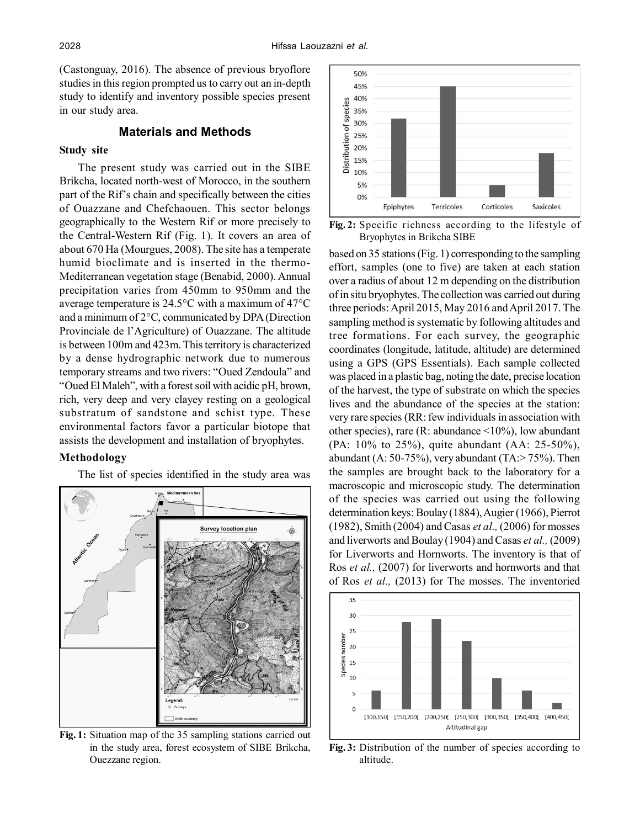(Castonguay, 2016). The absence of previous bryoflore studies in this region prompted us to carry out an in-depth study to identify and inventory possible species present in our study area.

## **Materials and Methods**

## **Study site**

The present study was carried out in the SIBE Brikcha, located north-west of Morocco, in the southern part of the Rif's chain and specifically between the cities of Ouazzane and Chefchaouen. This sector belongs geographically to the Western Rif or more precisely to the Central-Western Rif (Fig. 1). It covers an area of about 670 Ha (Mourgues, 2008). The site has a temperate humid bioclimate and is inserted in the thermo-Mediterranean vegetation stage (Benabid, 2000). Annual precipitation varies from 450mm to 950mm and the average temperature is 24.5°C with a maximum of 47°C and a minimum of 2°C, communicated by DPA (Direction Provinciale de l'Agriculture) of Ouazzane. The altitude is between 100m and 423m. This territory is characterized by a dense hydrographic network due to numerous temporary streams and two rivers: "Oued Zendoula" and "Oued El Maleh", with a forest soil with acidic pH, brown, rich, very deep and very clayey resting on a geological substratum of sandstone and schist type. These environmental factors favor a particular biotope that assists the development and installation of bryophytes.

#### **Methodology**

The list of species identified in the study area was



**Fig. 1:** Situation map of the 35 sampling stations carried out in the study area, forest ecosystem of SIBE Brikcha, Ouezzane region.



**Fig. 2:** Specific richness according to the lifestyle of Bryophytes in Brikcha SIBE

based on 35 stations (Fig. 1) corresponding to the sampling effort, samples (one to five) are taken at each station over a radius of about 12 m depending on the distribution of in situ bryophytes. The collection was carried out during three periods: April 2015, May 2016 and April 2017. The sampling method is systematic by following altitudes and tree formations. For each survey, the geographic coordinates (longitude, latitude, altitude) are determined using a GPS (GPS Essentials). Each sample collected was placed in a plastic bag, noting the date, precise location of the harvest, the type of substrate on which the species lives and the abundance of the species at the station: very rare species (RR: few individuals in association with other species), rare (R: abundance  $\leq 10\%$ ), low abundant (PA: 10% to 25%), quite abundant (AA: 25-50%), abundant (A: 50-75%), very abundant (TA: $>$  75%). Then the samples are brought back to the laboratory for a macroscopic and microscopic study. The determination of the species was carried out using the following determination keys: Boulay (1884), Augier (1966), Pierrot (1982), Smith (2004) and Casas *et al.,* (2006) for mosses and liverworts and Boulay (1904) and Casas *et al.,* (2009) for Liverworts and Hornworts. The inventory is that of Ros *et al.,* (2007) for liverworts and hornworts and that of Ros *et al.,* (2013) for The mosses. The inventoried



**Fig. 3:** Distribution of the number of species according to altitude.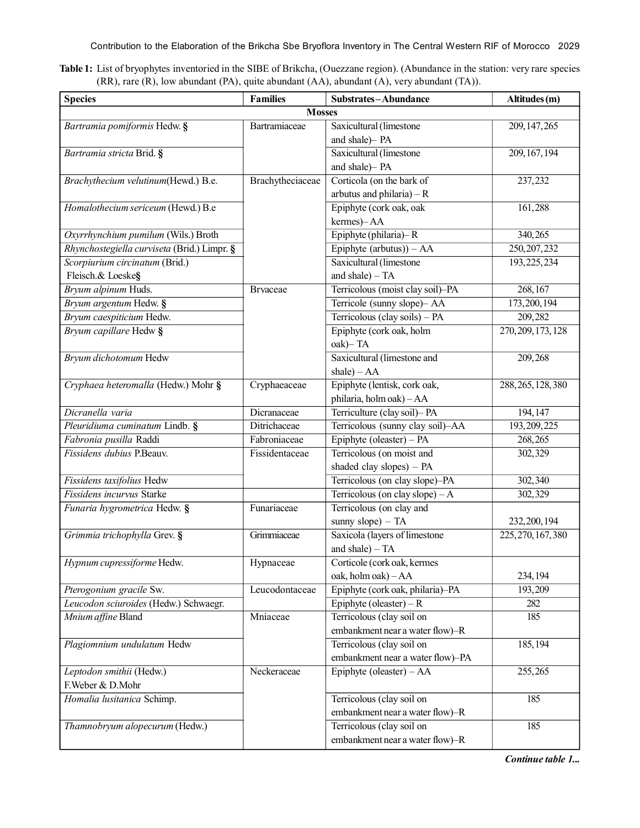Contribution to the Elaboration of the Brikcha Sbe Bryoflora Inventory in The Central Western RIF of Morocco 2029

| Table 1: List of bryophytes inventoried in the SIBE of Brikcha, (Ouezzane region). (Abundance in the station: very rare species |  |
|---------------------------------------------------------------------------------------------------------------------------------|--|
| $(RR)$ , rare $(R)$ , low abundant $(PA)$ , quite abundant $(AA)$ , abundant $(A)$ , very abundant $(TA))$ .                    |  |

| <b>Species</b>                              | <b>Families</b>  | Substrates-Abundance             | Altitudes (m)      |  |  |  |
|---------------------------------------------|------------------|----------------------------------|--------------------|--|--|--|
| <b>Mosses</b>                               |                  |                                  |                    |  |  |  |
| Bartramia pomiformis Hedw. §                | Bartramiaceae    | Saxicultural (limestone          | 209, 147, 265      |  |  |  |
|                                             |                  | and shale)- PA                   |                    |  |  |  |
| Bartramia stricta Brid. §                   |                  | Saxicultural (limestone          | 209, 167, 194      |  |  |  |
|                                             |                  | and shale)- PA                   |                    |  |  |  |
| Brachythecium velutinum(Hewd.) B.e.         | Brachytheciaceae | Corticola (on the bark of        | 237,232            |  |  |  |
|                                             |                  | arbutus and philaria) – $R$      |                    |  |  |  |
| Homalothecium sericeum (Hewd.) B.e          |                  | Epiphyte (cork oak, oak          | 161,288            |  |  |  |
|                                             |                  | kermes)-AA                       |                    |  |  |  |
| Oxyrrhynchium pumilum (Wils.) Broth         |                  | Epiphyte (philaria)–R            | 340,265            |  |  |  |
| Rhynchostegiella curviseta (Brid.) Limpr. § |                  | Epiphyte $(arbutus)) - AA$       | 250, 207, 232      |  |  |  |
| Scorpiurium circinatum (Brid.)              |                  | Saxicultural (limestone          | 193, 225, 234      |  |  |  |
| Fleisch.& Loeske§                           |                  | and shale) $-TA$                 |                    |  |  |  |
| Bryum alpinum Huds.                         | <b>Brvaceae</b>  | Terricolous (moist clay soil)-PA | 268, 167           |  |  |  |
| Bryum argentum Hedw. §                      |                  | Terricole (sunny slope)- AA      | 173, 200, 194      |  |  |  |
| Bryum caespiticium Hedw.                    |                  | Terricolous (clay soils) - PA    | 209,282            |  |  |  |
| Bryum capillare Hedw §                      |                  | Epiphyte (cork oak, holm         | 270, 209, 173, 128 |  |  |  |
|                                             |                  | oak)-TA                          |                    |  |  |  |
| Bryum dichotomum Hedw                       |                  | Saxicultural (limestone and      | 209,268            |  |  |  |
|                                             |                  | shale) $- AA$                    |                    |  |  |  |
| Cryphaea heteromalla (Hedw.) Mohr §         | Cryphaeaceae     | Epiphyte (lentisk, cork oak,     | 288, 265, 128, 380 |  |  |  |
|                                             |                  | philaria, holm oak) - AA         |                    |  |  |  |
| Dicranella varia                            | Dicranaceae      | Terriculture (clay soil)- PA     | 194, 147           |  |  |  |
| Pleuridiuma cuminatum Lindb. §              | Ditrichaceae     | Terricolous (sunny clay soil)-AA | 193, 209, 225      |  |  |  |
| Fabronia pusilla Raddi                      | Fabroniaceae     | Epiphyte (oleaster) - PA         | 268,265            |  |  |  |
| Fissidens dubius P.Beauv.                   | Fissidentaceae   | Terricolous (on moist and        | 302,329            |  |  |  |
|                                             |                  | shaded clay slopes) - PA         |                    |  |  |  |
| Fissidens taxifolius Hedw                   |                  | Terricolous (on clay slope)-PA   | 302,340            |  |  |  |
| Fissidens incurvus Starke                   |                  | Terricolous (on clay slope) $-A$ | 302,329            |  |  |  |
| Funaria hygrometrica Hedw. §                | Funariaceae      | Terricolous (on clay and         |                    |  |  |  |
|                                             |                  | sunny slope) $-TA$               | 232, 200, 194      |  |  |  |
| Grimmia trichophylla Grev. §                | Grimmiaceae      | Saxicola (layers of limestone    | 225, 270, 167, 380 |  |  |  |
|                                             |                  | and shale) - TA                  |                    |  |  |  |
| Hypnum cupressiforme Hedw.                  | Hypnaceae        | Corticole (cork oak, kermes      |                    |  |  |  |
|                                             |                  | oak, holm oak) - AA              | 234, 194           |  |  |  |
| Pterogonium gracile Sw.                     | Leucodontaceae   | Epiphyte (cork oak, philaria)-PA | 193,209            |  |  |  |
| Leucodon sciuroides (Hedw.) Schwaegr.       |                  | Epiphyte (oleaster) – R          | 282                |  |  |  |
| Mnium affine Bland                          | Mniaceae         | Terricolous (clay soil on        | 185                |  |  |  |
|                                             |                  | embankment near a water flow)-R  |                    |  |  |  |
| Plagiomnium undulatum Hedw                  |                  | Terricolous (clay soil on        | 185, 194           |  |  |  |
|                                             |                  | embankment near a water flow)-PA |                    |  |  |  |
| Leptodon smithii (Hedw.)                    | Neckeraceae      | Epiphyte (oleaster) - AA         | 255,265            |  |  |  |
| F. Weber & D. Mohr                          |                  |                                  |                    |  |  |  |
| Homalia lusitanica Schimp.                  |                  | Terricolous (clay soil on        | 185                |  |  |  |
|                                             |                  | embankment near a water flow)-R  |                    |  |  |  |
| Thamnobryum alopecurum (Hedw.)              |                  | Terricolous (clay soil on        | 185                |  |  |  |
|                                             |                  | embankment near a water flow)-R  |                    |  |  |  |

*Continue table 1...*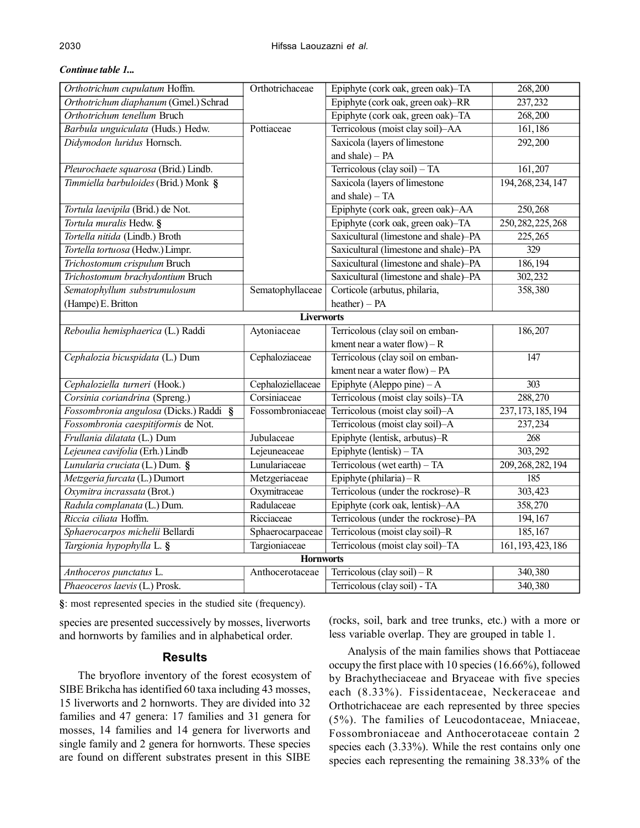| Orthotrichum cupulatum Hoffm.          | Orthotrichaceae   | Epiphyte (cork oak, green oak)-TA     | 268,200            |  |  |  |
|----------------------------------------|-------------------|---------------------------------------|--------------------|--|--|--|
| Orthotrichum diaphanum (Gmel.) Schrad  |                   | Epiphyte (cork oak, green oak)-RR     | 237,232            |  |  |  |
| Orthotrichum tenellum Bruch            |                   | Epiphyte (cork oak, green oak)-TA     | 268,200            |  |  |  |
| Barbula unguiculata (Huds.) Hedw.      | Pottiaceae        | Terricolous (moist clay soil)-AA      | 161,186            |  |  |  |
| Didymodon luridus Hornsch.             |                   | Saxicola (layers of limestone         | 292,200            |  |  |  |
|                                        |                   | and shale) - PA                       |                    |  |  |  |
| Pleurochaete squarosa (Brid.) Lindb.   |                   | Terricolous (clay soil) - TA          | 161,207            |  |  |  |
| Timmiella barbuloides (Brid.) Monk §   |                   | Saxicola (layers of limestone         | 194, 268, 234, 147 |  |  |  |
|                                        |                   | and shale) $-TA$                      |                    |  |  |  |
| Tortula laevipila (Brid.) de Not.      |                   | Epiphyte (cork oak, green oak)-AA     | 250,268            |  |  |  |
| Tortula muralis Hedw. §                |                   | Epiphyte (cork oak, green oak)-TA     | 250, 282, 225, 268 |  |  |  |
| Tortella nitida (Lindb.) Broth         |                   | Saxicultural (limestone and shale)-PA | 225,265            |  |  |  |
| Tortella tortuosa (Hedw.) Limpr.       |                   | Saxicultural (limestone and shale)-PA | $\overline{329}$   |  |  |  |
| Trichostomum crispulum Bruch           |                   | Saxicultural (limestone and shale)-PA | 186, 194           |  |  |  |
| Trichostomum brachydontium Bruch       |                   | Saxicultural (limestone and shale)-PA | 302, 232           |  |  |  |
| Sematophyllum substrumulosum           | Sematophyllaceae  | Corticole (arbutus, philaria,         | 358,380            |  |  |  |
| (Hampe) E. Britton                     |                   | $heather) - PA$                       |                    |  |  |  |
| <b>Liverworts</b>                      |                   |                                       |                    |  |  |  |
| Reboulia hemisphaerica (L.) Raddi      | Aytoniaceae       | Terricolous (clay soil on emban-      | 186,207            |  |  |  |
|                                        |                   | kment near a water flow) $- R$        |                    |  |  |  |
| Cephalozia bicuspidata (L.) Dum        | Cephaloziaceae    | Terricolous (clay soil on emban-      | $\overline{147}$   |  |  |  |
|                                        |                   | kment near a water flow) - PA         |                    |  |  |  |
| Cephaloziella turneri (Hook.)          | Cephaloziellaceae | Epiphyte (Aleppo pine) – A            | $\overline{303}$   |  |  |  |
| Corsinia coriandrina (Spreng.)         | Corsiniaceae      | Terricolous (moist clay soils)-TA     | 288,270            |  |  |  |
| Fossombronia angulosa (Dicks.) Raddi § | Fossombroniaceae  | Terricolous (moist clay soil)-A       | 237, 173, 185, 194 |  |  |  |
| Fossombronia caespitiformis de Not.    |                   | Terricolous (moist clay soil)-A       | 237,234            |  |  |  |
| Frullania dilatata (L.) Dum            | Jubulaceae        | Epiphyte (lentisk, arbutus)-R         | $\overline{268}$   |  |  |  |
| Lejeunea cavifolia (Erh.) Lindb        | Lejeuneaceae      | Epiphyte (lentisk) $-TA$              | 303,292            |  |  |  |
| Lunularia cruciata (L.) Dum. §         | Lunulariaceae     | Terricolous (wet earth) - TA          | 209, 268, 282, 194 |  |  |  |
| Metzgeria furcata (L.) Dumort          | Metzgeriaceae     | Epiphyte (philaria) – R               | 185                |  |  |  |
| Oxymitra incrassata (Brot.)            | Oxymitraceae      | Terricolous (under the rockrose)-R    | 303,423            |  |  |  |
| Radula complanata (L.) Dum.            | Radulaceae        | Epiphyte (cork oak, lentisk)-AA       | 358,270            |  |  |  |
| Riccia ciliata Hoffm.                  | Ricciaceae        | Terricolous (under the rockrose)-PA   | 194, 167           |  |  |  |
| Sphaerocarpos michelii Bellardi        | Sphaerocarpaceae  | Terricolous (moist clay soil)-R       | 185, 167           |  |  |  |
| Targionia hypophylla L. §              | Targioniaceae     | Terricolous (moist clay soil)-TA      | 161, 193, 423, 186 |  |  |  |
| <b>Hornworts</b>                       |                   |                                       |                    |  |  |  |
| Anthoceros punctatus L.                | Anthocerotaceae   | Terricolous (clay soil) $-R$          | 340,380            |  |  |  |
| Phaeoceros laevis (L.) Prosk.          |                   | Terricolous (clay soil) - TA          | 340,380            |  |  |  |

#### *Continue table 1...*

**§**: most represented species in the studied site (frequency).

species are presented successively by mosses, liverworts and hornworts by families and in alphabetical order.

## **Results**

The bryoflore inventory of the forest ecosystem of SIBE Brikcha has identified 60 taxa including 43 mosses, 15 liverworts and 2 hornworts. They are divided into 32 families and 47 genera: 17 families and 31 genera for mosses, 14 families and 14 genera for liverworts and single family and 2 genera for hornworts. These species are found on different substrates present in this SIBE

(rocks, soil, bark and tree trunks, etc.) with a more or less variable overlap. They are grouped in table 1.

Analysis of the main families shows that Pottiaceae occupy the first place with 10 species (16.66%), followed by Brachytheciaceae and Bryaceae with five species each (8.33%). Fissidentaceae, Neckeraceae and Orthotrichaceae are each represented by three species (5%). The families of Leucodontaceae, Mniaceae, Fossombroniaceae and Anthocerotaceae contain 2 species each  $(3.33\%)$ . While the rest contains only one species each representing the remaining 38.33% of the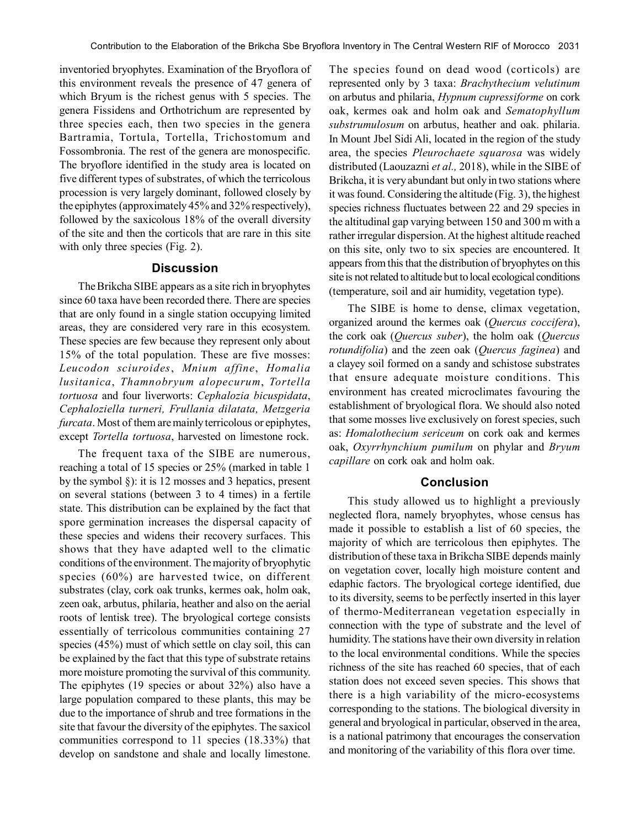inventoried bryophytes. Examination of the Bryoflora of this environment reveals the presence of 47 genera of which Bryum is the richest genus with 5 species. The genera Fissidens and Orthotrichum are represented by three species each, then two species in the genera Bartramia, Tortula, Tortella, Trichostomum and Fossombronia. The rest of the genera are monospecific. The bryoflore identified in the study area is located on five different types of substrates, of which the terricolous procession is very largely dominant, followed closely by the epiphytes (approximately 45% and 32% respectively), followed by the saxicolous 18% of the overall diversity of the site and then the corticols that are rare in this site with only three species (Fig. 2).

#### **Discussion**

The Brikcha SIBE appears as a site rich in bryophytes since 60 taxa have been recorded there. There are species that are only found in a single station occupying limited areas, they are considered very rare in this ecosystem. These species are few because they represent only about 15% of the total population. These are five mosses: *Leucodon sciuroides*, *Mnium affine*, *Homalia lusitanica*, *Thamnobryum alopecurum*, *Tortella tortuosa* and four liverworts: *Cephalozia bicuspidata*, *Cephaloziella turneri, Frullania dilatata, Metzgeria furcata*. Most of them are mainly terricolous or epiphytes, except *Tortella tortuosa*, harvested on limestone rock.

The frequent taxa of the SIBE are numerous, reaching a total of 15 species or 25% (marked in table 1 by the symbol §): it is 12 mosses and 3 hepatics, present on several stations (between 3 to 4 times) in a fertile state. This distribution can be explained by the fact that spore germination increases the dispersal capacity of these species and widens their recovery surfaces. This shows that they have adapted well to the climatic conditions of the environment. The majority of bryophytic species (60%) are harvested twice, on different substrates (clay, cork oak trunks, kermes oak, holm oak, zeen oak, arbutus, philaria, heather and also on the aerial roots of lentisk tree). The bryological cortege consists essentially of terricolous communities containing 27 species (45%) must of which settle on clay soil, this can be explained by the fact that this type of substrate retains more moisture promoting the survival of this community. The epiphytes (19 species or about 32%) also have a large population compared to these plants, this may be due to the importance of shrub and tree formations in the site that favour the diversity of the epiphytes. The saxicol communities correspond to 11 species (18.33%) that develop on sandstone and shale and locally limestone.

The species found on dead wood (corticols) are represented only by 3 taxa: *Brachythecium velutinum* on arbutus and philaria, *Hypnum cupressiforme* on cork oak, kermes oak and holm oak and *Sematophyllum substrumulosum* on arbutus, heather and oak. philaria. In Mount Jbel Sidi Ali, located in the region of the study area, the species *Pleurochaete squarosa* was widely distributed (Laouzazni *et al.,* 2018), while in the SIBE of Brikcha, it is very abundant but only in two stations where it was found. Considering the altitude (Fig. 3), the highest species richness fluctuates between 22 and 29 species in the altitudinal gap varying between 150 and 300 m with a rather irregular dispersion. At the highest altitude reached on this site, only two to six species are encountered. It appears from this that the distribution of bryophytes on this site is not related to altitude but to local ecological conditions (temperature, soil and air humidity, vegetation type).

The SIBE is home to dense, climax vegetation, organized around the kermes oak (*Quercus coccifera*), the cork oak (*Quercus suber*), the holm oak (*Quercus rotundifolia*) and the zeen oak (*Quercus faginea*) and a clayey soil formed on a sandy and schistose substrates that ensure adequate moisture conditions. This environment has created microclimates favouring the establishment of bryological flora. We should also noted that some mosses live exclusively on forest species, such as: *Homalothecium sericeum* on cork oak and kermes oak, *Oxyrrhynchium pumilum* on phylar and *Bryum capillare* on cork oak and holm oak.

# **Conclusion**

This study allowed us to highlight a previously neglected flora, namely bryophytes, whose census has made it possible to establish a list of 60 species, the majority of which are terricolous then epiphytes. The distribution of these taxa in Brikcha SIBE depends mainly on vegetation cover, locally high moisture content and edaphic factors. The bryological cortege identified, due to its diversity, seems to be perfectly inserted in this layer of thermo-Mediterranean vegetation especially in connection with the type of substrate and the level of humidity. The stations have their own diversity in relation to the local environmental conditions. While the species richness of the site has reached 60 species, that of each station does not exceed seven species. This shows that there is a high variability of the micro-ecosystems corresponding to the stations. The biological diversity in general and bryological in particular, observed in the area, is a national patrimony that encourages the conservation and monitoring of the variability of this flora over time.